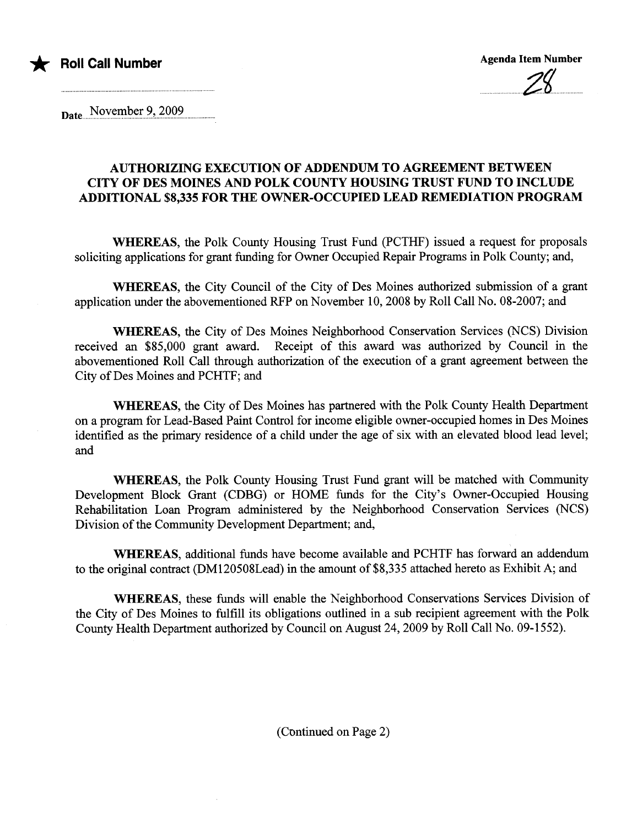

Date November 9, 2009

## AUTHORIZING EXECUTION OF ADDENDUM TO AGREEMENT BETWEEN CITY OF DES MOINES AND POLK COUNTY HOUSING TRUST FUND TO INCLUDE ADDITIONAL \$8,335 FOR THE OWNER-OCCUPIED LEAD REMEDIATION PROGRA

WHEREAS, the Polk County Housing Trust Fund (PCTHF) issued a request for proposals soliciting applications for grant fuding for Owner Occupied Repair Programs in Polk County; and,

WHEREAS, the City Council of the City of Des Moines authorized submission of a grant application under the abovementioned RFP on November 10,2008 by Roll Call No. 08-2007; and

WHEREAS, the City of Des Moines Neighborhood Conservation Services (NCS) Division received an \$85,000 grant award. Receipt of this award was authorized by Council in the abovementioned Roll Call through authorization of the execution of a grant agreement between the City of Des Moines and PCHTF; and

WHEREAS, the City of Des Moines has partnered with the Polk County Health Department on a program for Lead-Based Paint Control for income eligible owner-occupied homes in Des Moines identified as the primary residence of a child under the age of six with an elevated blood lead level; and

WHEREAS, the Polk County Housing Trust Fund grant will be matched with Community Development Block Grant (CDBG) or HOME fuds for the City's Owner-Occupied Housing Rehabiltation Loan Program administered by the Neighborhood Conservation Services (NCS) Division of the Community Development Department; and,

WHEREAS, additional funds have become available and PCHTF has forward an addendum to the original contract (DM120508Lead) in the amount of \$8,335 attached hereto as Exhibit A; and

WHEREAS, these fuds will enable the Neighborhood Conservations Services Division of the City of Des Moines to fulfill its obligations outlined in a sub recipient agreement with the Polk County Health Deparment authorized by Council on August 24,2009 by Roll Call No. 09-1552).

(Continued on Page 2)